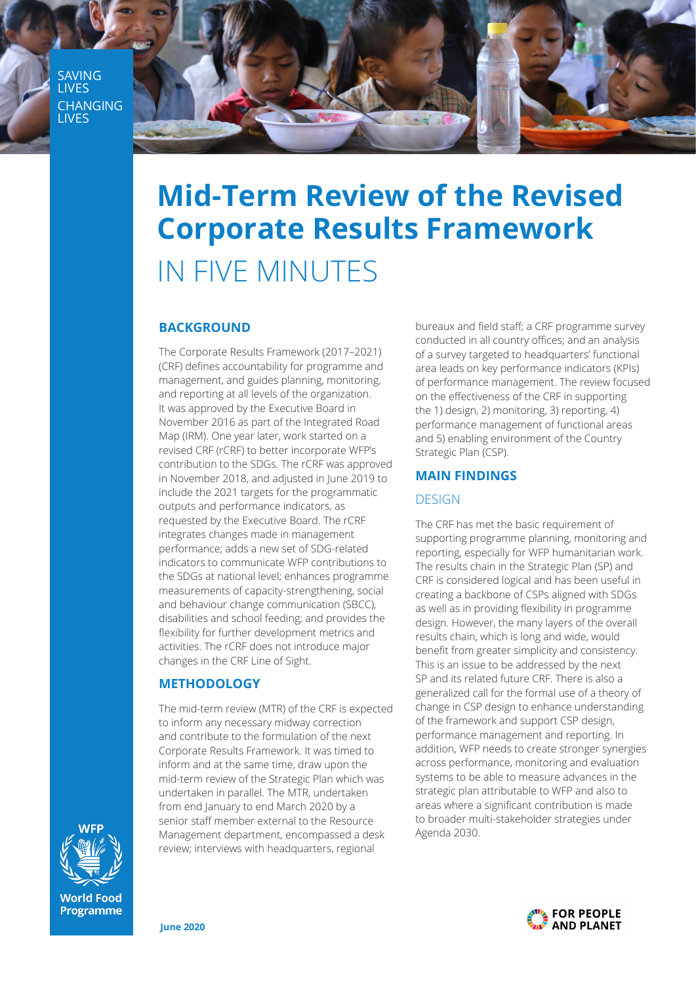**SAVING LIVES CHANGING** LIVES



# **Mid-Term Review of the Revised Corporate Results Framework** IN FIVE MINUTES

#### **BACKGROUND**

The Corporate Results Framework (2017-2021) (CRF) defines accountability for programme and management, and guides planning, monitoring, and reporting at all levels of the organization. It was approved by the Executive Board in November 2016 as part of the Integrated Road Map (IRM). One year later, work started on a revised CRF (rCRF) to better incorporate WFP's contribution to the SDGs. The rCRF was approved in November 2018, and adjusted in June 2019 to include the 2021 targets for the programmatic outputs and performance indicators, as requested by the Executive Board. The rCRF integrates changes made in management performance: adds a new set of SDG-related indicators to communicate WFP contributions to the SDGs at national level; enhances programme measurements of capacity-strengthening, social and behaviour change communication (SBCC), disabilities and school feeding; and provides the flexibility for further development metrics and activities. The rCRF does not introduce major changes in the CRF Line of Sight.

## **METHODOLOGY**

The mid-term review (MTR) of the CRF is expected to inform any necessary midway correction and contribute to the formulation of the next Corporate Results Framework. It was timed to inform and at the same time, draw upon the mid-term review of the Strategic Plan which was undertaken in parallel. The MTR, undertaken from end January to end March 2020 by a senior staff member external to the Resource Management department, encompassed a desk review; interviews with headquarters, regional

bureaux and field staff; a CRF programme survey conducted in all country offices; and an analysis of a survey targeted to headquarters' functional area leads on key performance indicators (KPIs) of performance management. The review focused on the effectiveness of the CRF in supporting the 1) design, 2) monitoring, 3) reporting, 4) performance management of functional areas and 5) enabling environment of the Country Strategic Plan (CSP).

### **MAIN FINDINGS**

### **DESIGN**

The CRF has met the basic requirement of supporting programme planning, monitoring and reporting, especially for WFP humanitarian work. The results chain in the Strategic Plan (SP) and CRF is considered logical and has been useful in creating a backbone of CSPs aligned with SDGs as well as in providing flexibility in programme design. However, the many layers of the overall results chain, which is long and wide, would benefit from greater simplicity and consistency. This is an issue to be addressed by the next SP and its related future CRF. There is also a generalized call for the formal use of a theory of change in CSP design to enhance understanding of the framework and support CSP design, performance management and reporting. In addition, WFP needs to create stronger synergies across performance, monitoring and evaluation systems to be able to measure advances in the strategic plan attributable to WFP and also to areas where a significant contribution is made to broader multi-stakeholder strategies under Agenda 2030.



**World Food Programme**